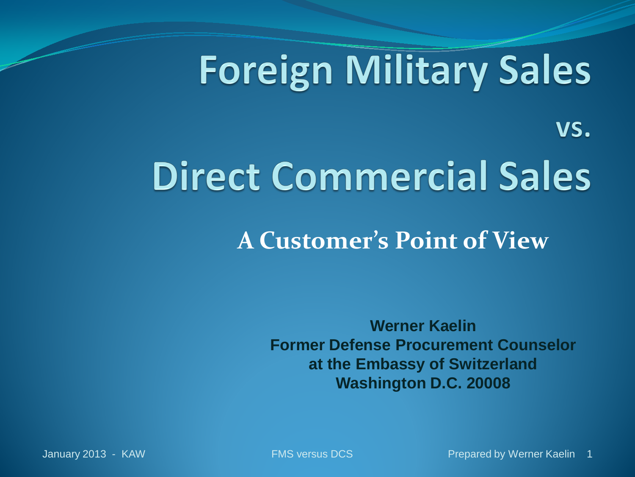## **Foreign Military Sales**

## **Direct Commercial Sales**

#### **A Customer's Point of View**

**Werner Kaelin Former Defense Procurement Counselor at the Embassy of Switzerland Washington D.C. 20008**

VS.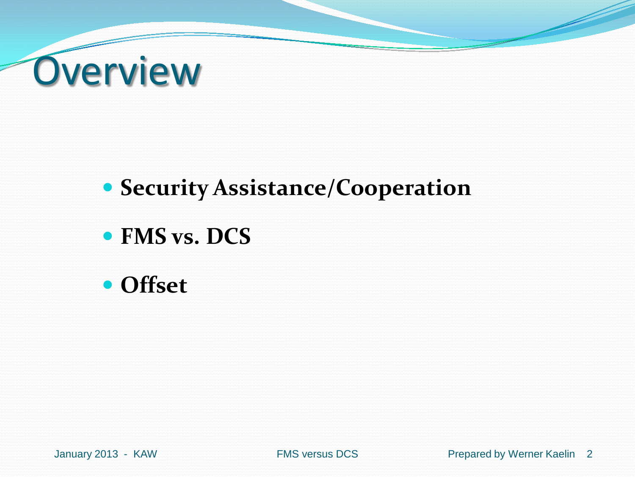

#### **• Security Assistance/Cooperation**

#### **FMS vs. DCS**

**Offset**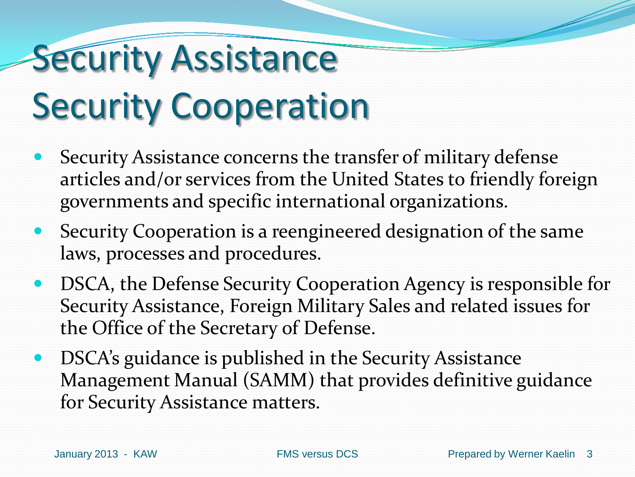#### **Security Assistance** Security Cooperation

- Security Assistance concerns the transfer of military defense articles and/or services from the United States to friendly foreign governments and specific international organizations.
- Security Cooperation is a reengineered designation of the same laws, processes and procedures.
- DSCA, the Defense Security Cooperation Agency is responsible for Security Assistance, Foreign Military Sales and related issues for the Office of the Secretary of Defense.
- DSCA's guidance is published in the Security Assistance Management Manual (SAMM) that provides definitive guidance for Security Assistance matters.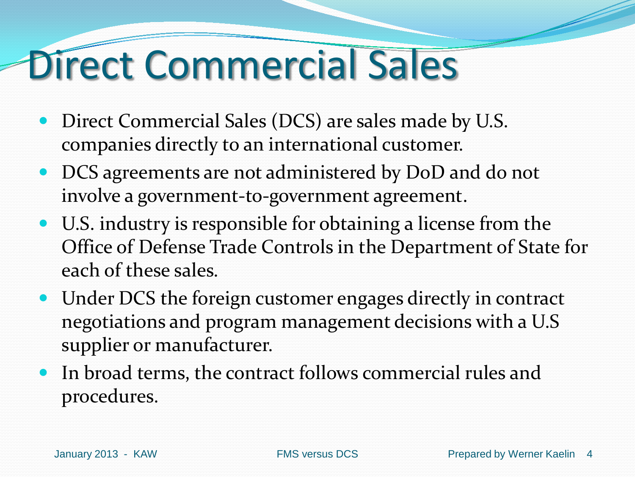#### Direct Commercial Sales

- Direct Commercial Sales (DCS) are sales made by U.S. companies directly to an international customer.
- DCS agreements are not administered by DoD and do not involve a government-to-government agreement.
- U.S. industry is responsible for obtaining a license from the Office of Defense Trade Controls in the Department of State for each of these sales.
- Under DCS the foreign customer engages directly in contract negotiations and program management decisions with a U.S supplier or manufacturer.
- In broad terms, the contract follows commercial rules and procedures.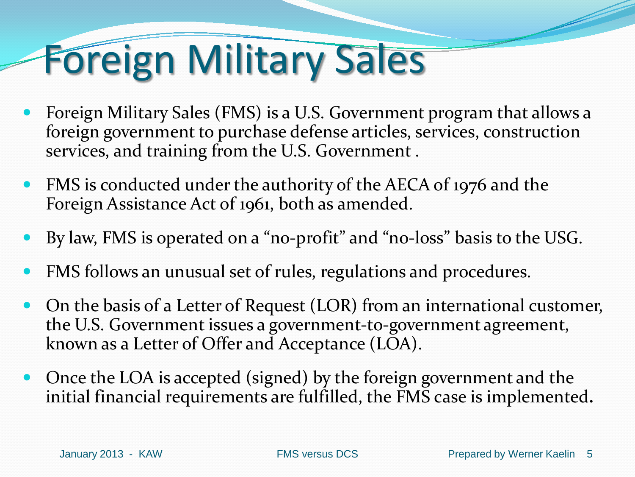## Foreign Military Sales

- Foreign Military Sales (FMS) is a U.S. Government program that allows a foreign government to purchase defense articles, services, construction services, and training from the U.S. Government .
- FMS is conducted under the authority of the AECA of 1976 and the Foreign Assistance Act of 1961, both as amended.
- By law, FMS is operated on a "no-profit" and "no-loss" basis to the USG.
- FMS follows an unusual set of rules, regulations and procedures.
- On the basis of a Letter of Request (LOR) from an international customer, the U.S. Government issues a government-to-government agreement, known as a Letter of Offer and Acceptance (LOA).
- Once the LOA is accepted (signed) by the foreign government and the initial financial requirements are fulfilled, the FMS case is implemented**.**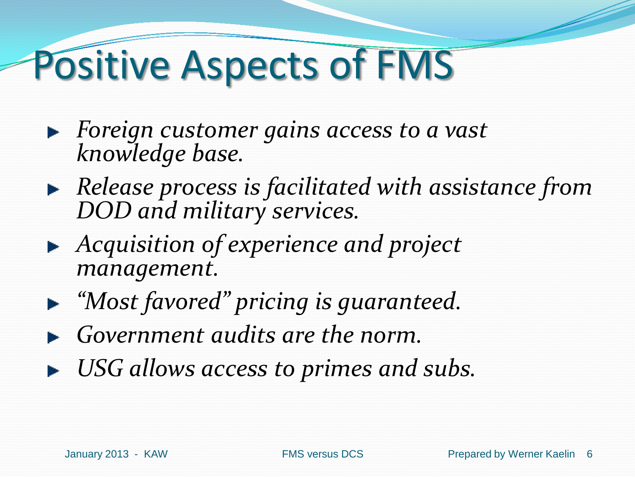#### Positive Aspects of FMS

- *Foreign customer gains access to a vast knowledge base.*
- *Release process is facilitated with assistance from DOD and military services.*
- *Acquisition of experience and project management.*
- *"Most favored" pricing is guaranteed.*
- *Government audits are the norm.*
- *USG allows access to primes and subs.*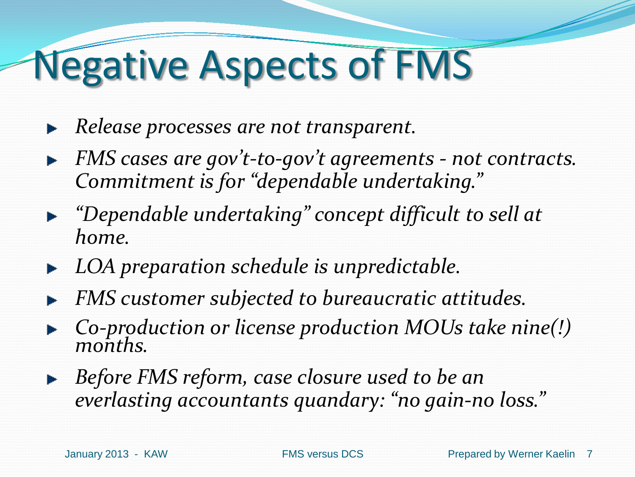#### Negative Aspects of FMS

- *Release processes are not transparent.*  þ.
- *FMS cases are gov't-to-gov't agreements - not contracts.*   $\blacktriangleright$ *Commitment is for "dependable undertaking."*
- *"Dependable undertaking" concept difficult to sell at home.*
- *LOA preparation schedule is unpredictable.* Þ
- *FMS customer subjected to bureaucratic attitudes.*
- *Co-production or license production MOUs take nine(!) months.*
- *Before FMS reform, case closure used to be an everlasting accountants quandary: "no gain-no loss."*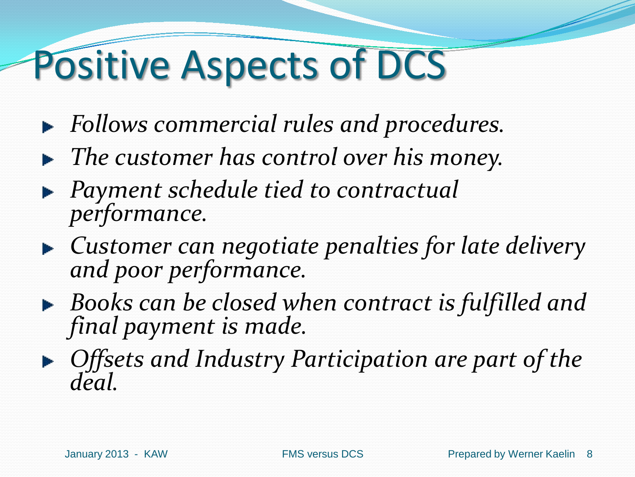#### Positive Aspects of DCS

- *Follows commercial rules and procedures.*
- *The customer has control over his money.*
- *Payment schedule tied to contractual performance.*
- *Customer can negotiate penalties for late delivery and poor performance.*
- *Books can be closed when contract is fulfilled and final payment is made.*
- *Offsets and Industry Participation are part of the deal.*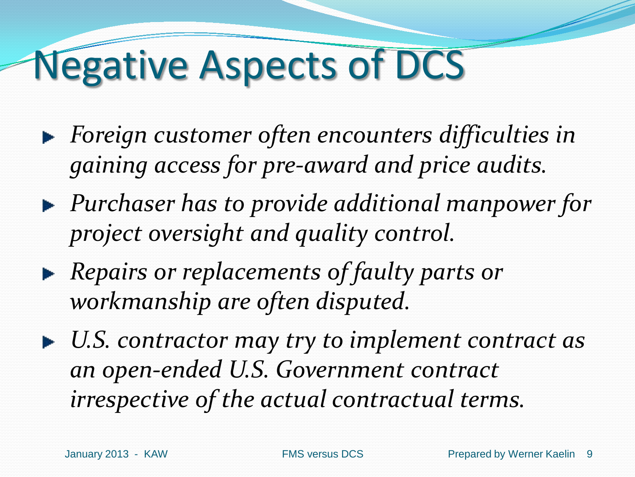#### Negative Aspects of DCS

- *Foreign customer often encounters difficulties in gaining access for pre-award and price audits.*
- *Purchaser has to provide additional manpower for project oversight and quality control.*
- *Repairs or replacements of faulty parts or workmanship are often disputed.*
- *U.S. contractor may try to implement contract as an open-ended U.S. Government contract irrespective of the actual contractual terms.*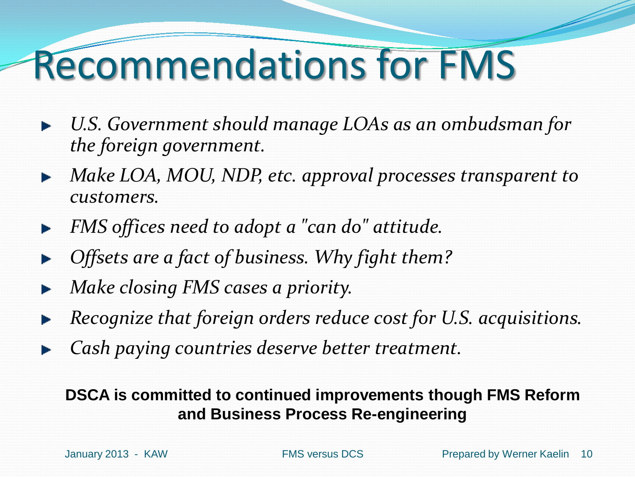#### Recommendations for FMS

- *U.S. Government should manage LOAs as an ombudsman for the foreign government.*
- *Make LOA, MOU, NDP, etc. approval processes transparent to customers.*
- *FMS offices need to adopt a "can do" attitude.*
- *Offsets are a fact of business. Why fight them?*
- *Make closing FMS cases a priority.*
- *Recognize that foreign orders reduce cost for U.S. acquisitions.*
- *Cash paying countries deserve better treatment.*

#### **DSCA is committed to continued improvements though FMS Reform and Business Process Re-engineering**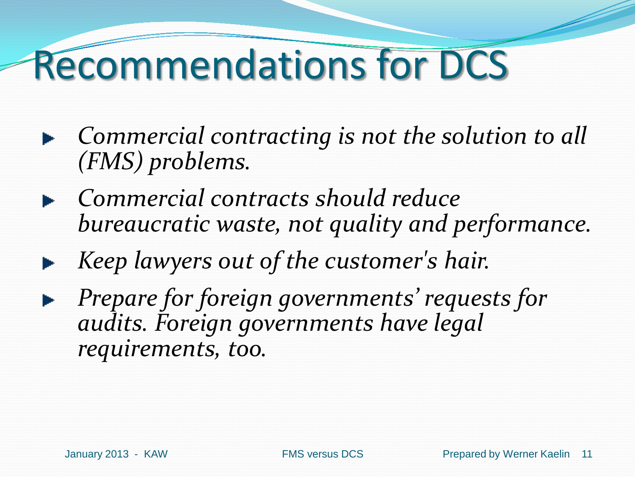#### Recommendations for DCS

- *Commercial contracting is not the solution to all (FMS) problems.*
- *Commercial contracts should reduce bureaucratic waste, not quality and performance.*
- *Keep lawyers out of the customer's hair.*
- *Prepare for foreign governments' requests for audits. Foreign governments have legal requirements, too.*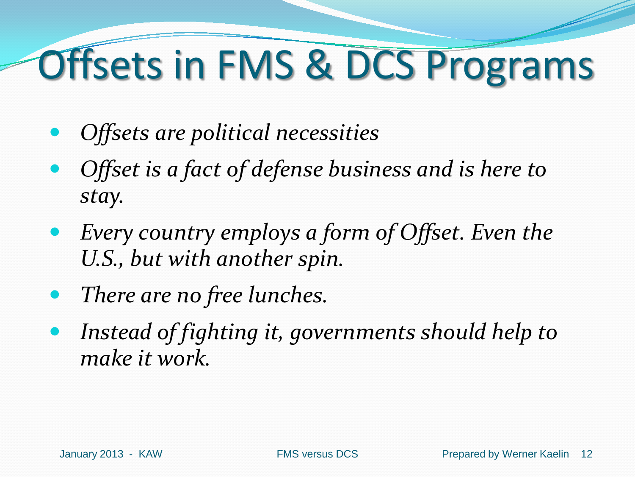## Offsets in FMS & DCS Programs

- *Offsets are political necessities*
- *Offset is a fact of defense business and is here to stay.*
- *Every country employs a form of Offset. Even the U.S., but with another spin.*
- *There are no free lunches.*
- *Instead of fighting it, governments should help to make it work.*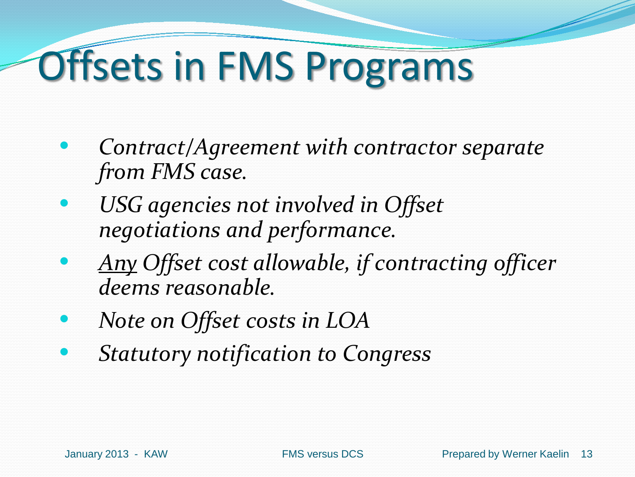## Offsets in FMS Programs

- *Contract/Agreement with contractor separate from FMS case.*
- *USG agencies not involved in Offset negotiations and performance.*
- *Any Offset cost allowable, if contracting officer deems reasonable.*
- *Note on Offset costs in LOA*
- *Statutory notification to Congress*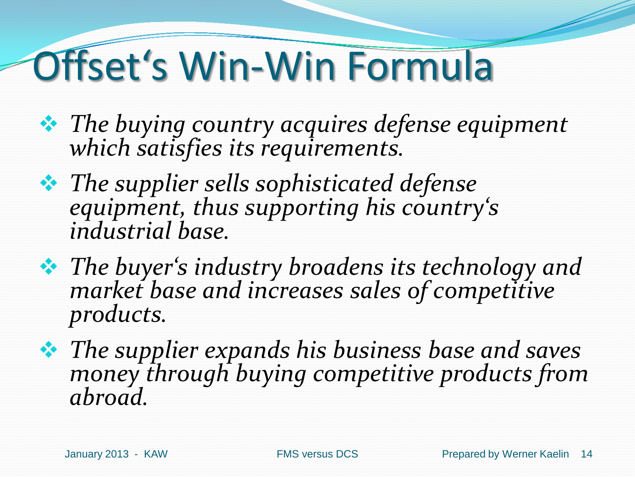## Offset's Win-Win Formula

- *The buying country acquires defense equipment which satisfies its requirements.*
- *The supplier sells sophisticated defense equipment, thus supporting his country's industrial base.*
- *The buyer's industry broadens its technology and market base and increases sales of competitive products.*
- *The supplier expands his business base and saves money through buying competitive products from abroad.*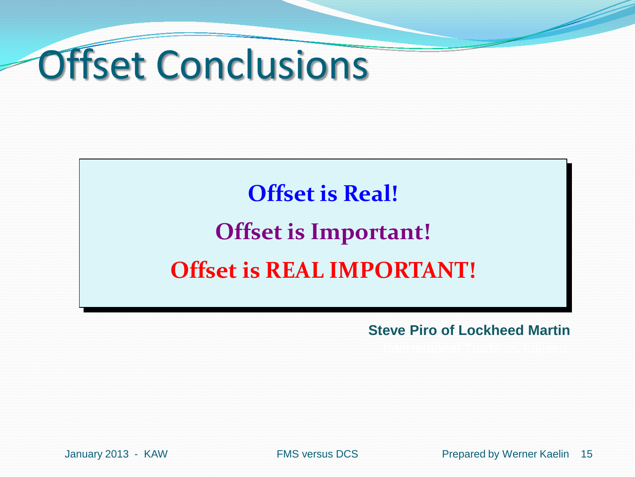

#### **Offset is Real! Offset is Important! Offset is REAL IMPORTANT!**

**Steve Piro of Lockheed Martin**

January 2013 - KAW FMS versus DCS Prepared by Werner Kaelin 15